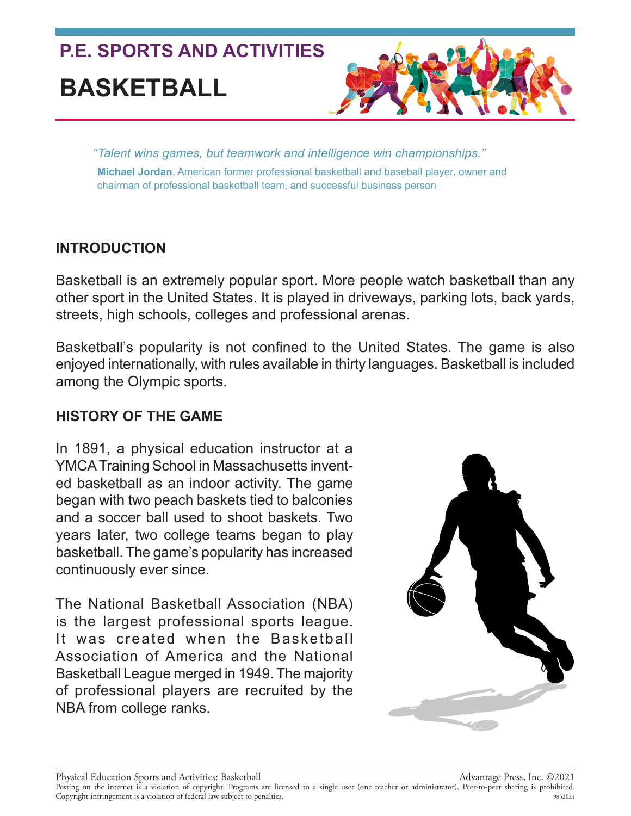

*"Talent wins games, but teamwork and intelligence win championships."* **Michael Jordan**, American former professional basketball and baseball player, owner and chairman of professional basketball team, and successful business person

# **INTRODUCTION**

Basketball is an extremely popular sport. More people watch basketball than any other sport in the United States. It is played in driveways, parking lots, back yards, streets, high schools, colleges and professional arenas.

Basketball's popularity is not confined to the United States. The game is also enjoyed internationally, with rules available in thirty languages. Basketball is included among the Olympic sports.

# **HISTORY OF THE GAME**

In 1891, a physical education instructor at a YMCA Training School in Massachusetts invented basketball as an indoor activity. The game began with two peach baskets tied to balconies and a soccer ball used to shoot baskets. Two years later, two college teams began to play basketball. The game's popularity has increased continuously ever since.

The National Basketball Association (NBA) is the largest professional sports league. It was created when the Basketball Association of America and the National Basketball League merged in 1949. The majority of professional players are recruited by the NBA from college ranks.

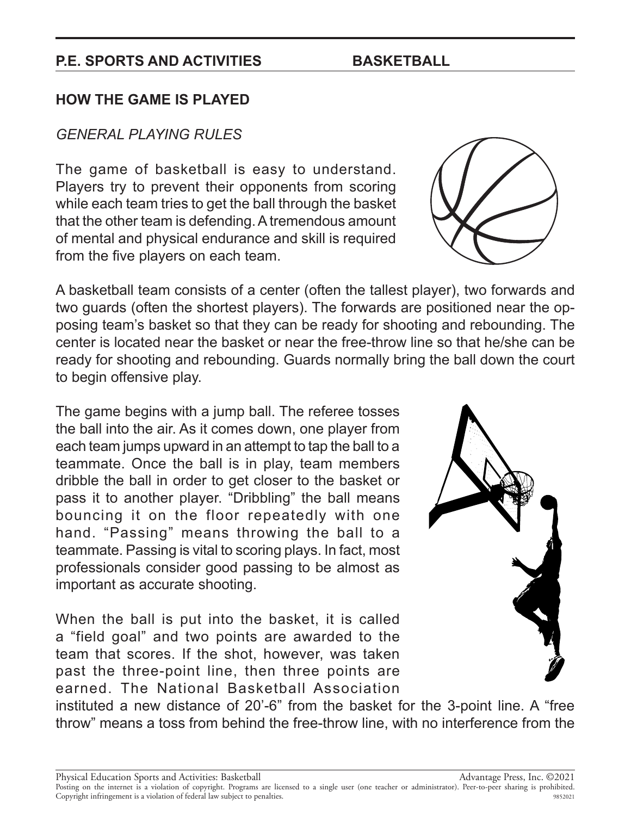# **HOW THE GAME IS PLAYED**

### *GENERAL PLAYING RULES*

The game of basketball is easy to understand. Players try to prevent their opponents from scoring while each team tries to get the ball through the basket that the other team is defending. A tremendous amount of mental and physical endurance and skill is required from the five players on each team.

A basketball team consists of a center (often the tallest player), two forwards and two guards (often the shortest players). The forwards are positioned near the opposing team's basket so that they can be ready for shooting and rebounding. The center is located near the basket or near the free-throw line so that he/she can be ready for shooting and rebounding. Guards normally bring the ball down the court to begin offensive play.

The game begins with a jump ball. The referee tosses the ball into the air. As it comes down, one player from each team jumps upward in an attempt to tap the ball to a teammate. Once the ball is in play, team members dribble the ball in order to get closer to the basket or pass it to another player. "Dribbling" the ball means bouncing it on the floor repeatedly with one hand. "Passing" means throwing the ball to a teammate. Passing is vital to scoring plays. In fact, most professionals consider good passing to be almost as important as accurate shooting.

When the ball is put into the basket, it is called a "field goal" and two points are awarded to the team that scores. If the shot, however, was taken past the three-point line, then three points are earned. The National Basketball Association

instituted a new distance of 20'-6" from the basket for the 3-point line. A "free throw" means a toss from behind the free-throw line, with no interference from the

Physical Education Sports and Activities: Basketball

Advantage Press, Inc. ©2021 Posting on the internet is a violation of copyright. Programs are licensed to a single user (one teacher or administrator). Peer-to-peer sharing is prohibited. Copyright infringement is a violation of federal law subject to penalties. 9852021



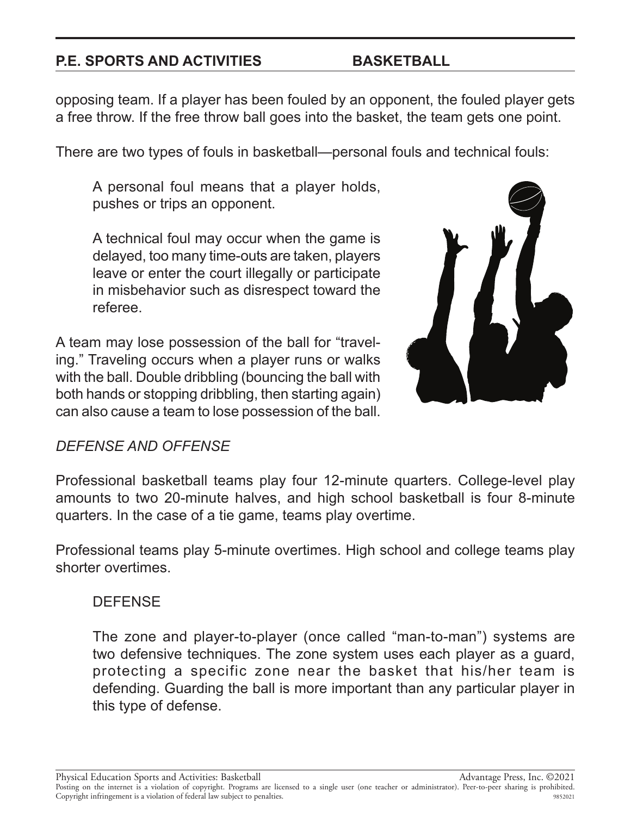opposing team. If a player has been fouled by an opponent, the fouled player gets a free throw. If the free throw ball goes into the basket, the team gets one point.

There are two types of fouls in basketball—personal fouls and technical fouls:

A personal foul means that a player holds, pushes or trips an opponent.

A technical foul may occur when the game is delayed, too many time-outs are taken, players leave or enter the court illegally or participate in misbehavior such as disrespect toward the referee.

A team may lose possession of the ball for "traveling." Traveling occurs when a player runs or walks with the ball. Double dribbling (bouncing the ball with both hands or stopping dribbling, then starting again) can also cause a team to lose possession of the ball.



# *DEFENSE AND OFFENSE*

Professional basketball teams play four 12-minute quarters. College-level play amounts to two 20-minute halves, and high school basketball is four 8-minute quarters. In the case of a tie game, teams play overtime.

Professional teams play 5-minute overtimes. High school and college teams play shorter overtimes.

# **DEFENSE**

The zone and player-to-player (once called "man-to-man") systems are two defensive techniques. The zone system uses each player as a guard, protecting a specific zone near the basket that his/her team is defending. Guarding the ball is more important than any particular player in this type of defense.

Physical Education Sports and Activities: Basketball

Advantage Press, Inc. ©2021

Posting on the internet is a violation of copyright. Programs are licensed to a single user (one teacher or administrator). Peer-to-peer sharing is prohibited. Copyright infringement is a violation of federal law subject to penalties. 9852021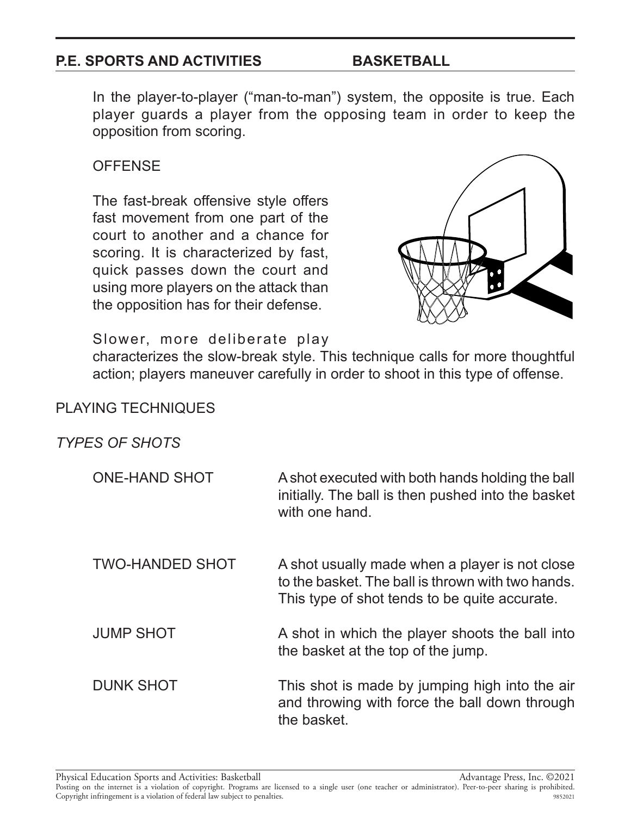In the player-to-player ("man-to-man") system, the opposite is true. Each player guards a player from the opposing team in order to keep the opposition from scoring.

# **OFFENSE**

The fast-break offensive style offers fast movement from one part of the court to another and a chance for scoring. It is characterized by fast, quick passes down the court and using more players on the attack than the opposition has for their defense.



#### Slower, more deliberate play

characterizes the slow-break style. This technique calls for more thoughtful action; players maneuver carefully in order to shoot in this type of offense.

#### PLAYING TECHNIQUES

# *TYPES OF SHOTS*

| ONE-HAND SHOT    | A shot executed with both hands holding the ball<br>initially. The ball is then pushed into the basket<br>with one hand.                             |
|------------------|------------------------------------------------------------------------------------------------------------------------------------------------------|
| TWO-HANDED SHOT  | A shot usually made when a player is not close<br>to the basket. The ball is thrown with two hands.<br>This type of shot tends to be quite accurate. |
| <b>JUMP SHOT</b> | A shot in which the player shoots the ball into<br>the basket at the top of the jump.                                                                |

DUNK SHOT This shot is made by jumping high into the air and throwing with force the ball down through the basket.

Physical Education Sports and Activities: Basketball

Advantage Press, Inc. ©2021

Posting on the internet is a violation of copyright. Programs are licensed to a single user (one teacher or administrator). Peer-to-peer sharing is prohibited. Copyright infringement is a violation of federal law subject to penalties. 9852021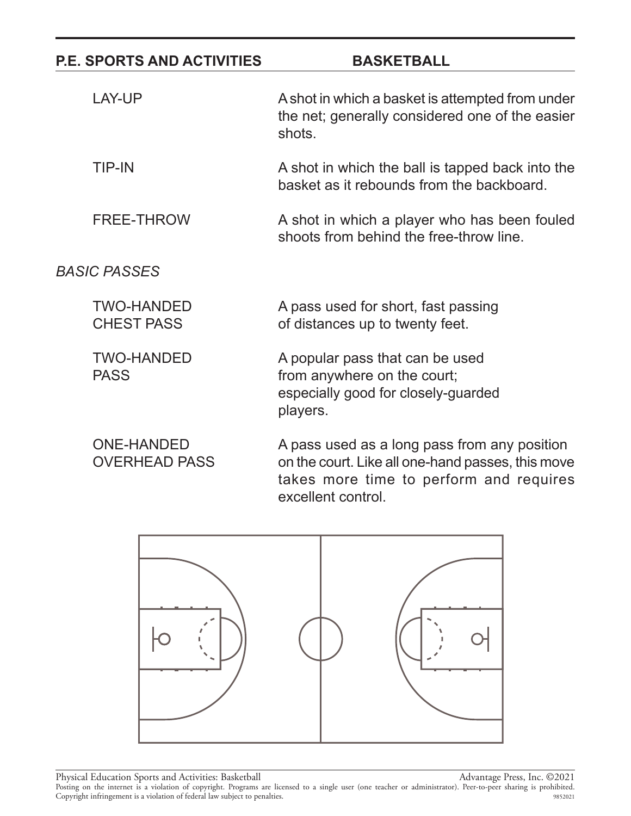| <b>P.E. SPORTS AND ACTIVITIES</b>         | <b>BASKETBALL</b>                                                                                                                                                  |
|-------------------------------------------|--------------------------------------------------------------------------------------------------------------------------------------------------------------------|
| <b>LAY-UP</b>                             | A shot in which a basket is attempted from under<br>the net; generally considered one of the easier<br>shots.                                                      |
| <b>TIP-IN</b>                             | A shot in which the ball is tapped back into the<br>basket as it rebounds from the backboard.                                                                      |
| <b>FREE-THROW</b>                         | A shot in which a player who has been fouled<br>shoots from behind the free-throw line.                                                                            |
| <b>BASIC PASSES</b>                       |                                                                                                                                                                    |
| <b>TWO-HANDED</b><br><b>CHEST PASS</b>    | A pass used for short, fast passing<br>of distances up to twenty feet.                                                                                             |
| <b>TWO-HANDED</b><br><b>PASS</b>          | A popular pass that can be used<br>from anywhere on the court;<br>especially good for closely-guarded<br>players.                                                  |
| <b>ONE-HANDED</b><br><b>OVERHEAD PASS</b> | A pass used as a long pass from any position<br>on the court. Like all one-hand passes, this move<br>takes more time to perform and requires<br>excellent control. |

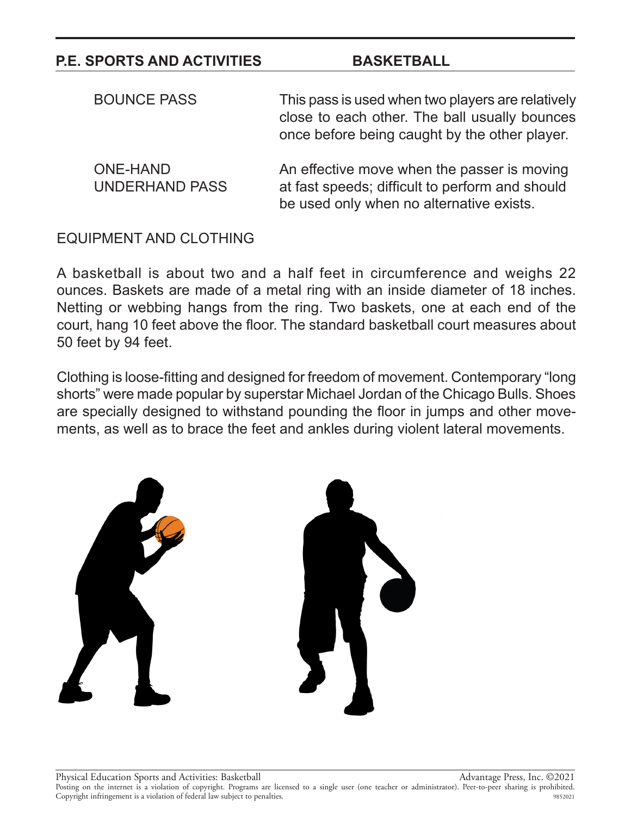| <b>BOUNCE PASS</b>                       | This pass is used when two players are relatively<br>close to each other. The ball usually bounces<br>once before being caught by the other player. |
|------------------------------------------|-----------------------------------------------------------------------------------------------------------------------------------------------------|
| <b>ONE-HAND</b><br><b>UNDERHAND PASS</b> | An effective move when the passer is moving<br>at fast speeds; difficult to perform and should<br>be used only when no alternative exists.          |

#### EQUIPMENT AND CLOTHING

A basketball is about two and a half feet in circumference and weighs 22 ounces. Baskets are made of a metal ring with an inside diameter of 18 inches. Netting or webbing hangs from the ring. Two baskets, one at each end of the court, hang 10 feet above the floor. The standard basketball court measures about 50 feet by 94 feet.

Clothing is loose-fitting and designed for freedom of movement. Contemporary "long shorts" were made popular by superstar Michael Jordan of the Chicago Bulls. Shoes are specially designed to withstand pounding the floor in jumps and other movements, as well as to brace the feet and ankles during violent lateral movements.